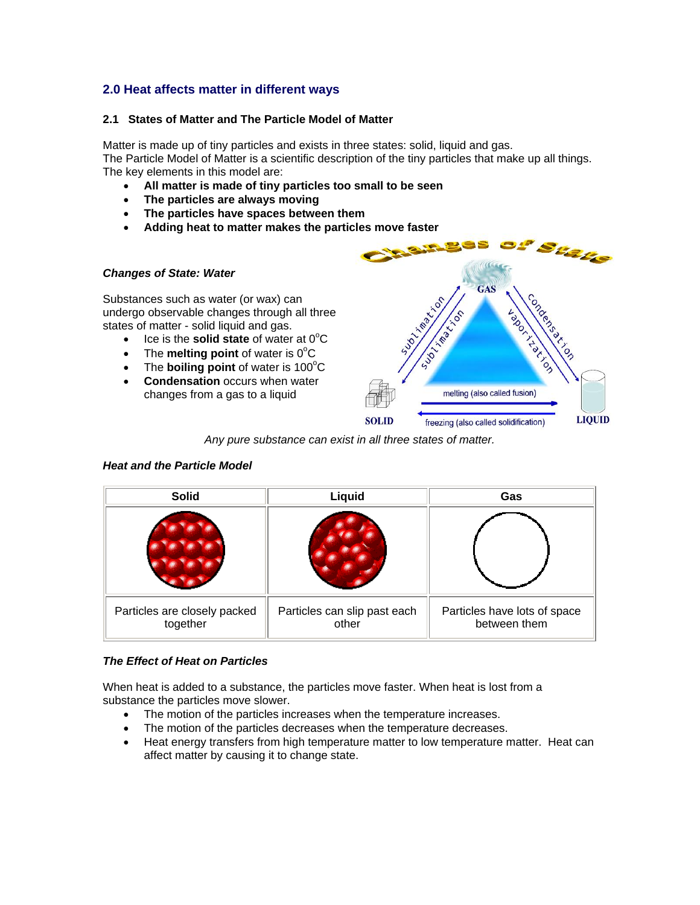# **2.0 Heat affects matter in different ways**

## **2.1 States of Matter and The Particle Model of Matter**

Matter is made up of tiny particles and exists in three states: solid, liquid and gas. The Particle Model of Matter is a scientific description of the tiny particles that make up all things. The key elements in this model are:

- **All matter is made of tiny particles too small to be seen**
- **The particles are always moving**
- **The particles have spaces between them**
- **Adding heat to matter makes the particles move faster**

### *Changes of State: Water*

Substances such as water (or wax) can undergo observable changes through all three states of matter - solid liquid and gas.

- $\bullet$  Ice is the **solid state** of water at  $0^{\circ}$ C
- The **melting point** of water is  $0^{\circ}C$
- The **boiling point** of water is 100°C
- **Condensation** occurs when water changes from a gas to a liquid



*Any pure substance can exist in all three states of matter.* 

| <b>Solid</b>                             | Liquid                                | Gas                                          |  |
|------------------------------------------|---------------------------------------|----------------------------------------------|--|
|                                          |                                       |                                              |  |
| Particles are closely packed<br>together | Particles can slip past each<br>other | Particles have lots of space<br>between them |  |

## *Heat and the Particle Model*

### *The Effect of Heat on Particles*

When heat is added to a substance, the particles move faster. When heat is lost from a substance the particles move slower.

- The motion of the particles increases when the temperature increases.
- The motion of the particles decreases when the temperature decreases.
- Heat energy transfers from high temperature matter to low temperature matter. Heat can affect matter by causing it to change state.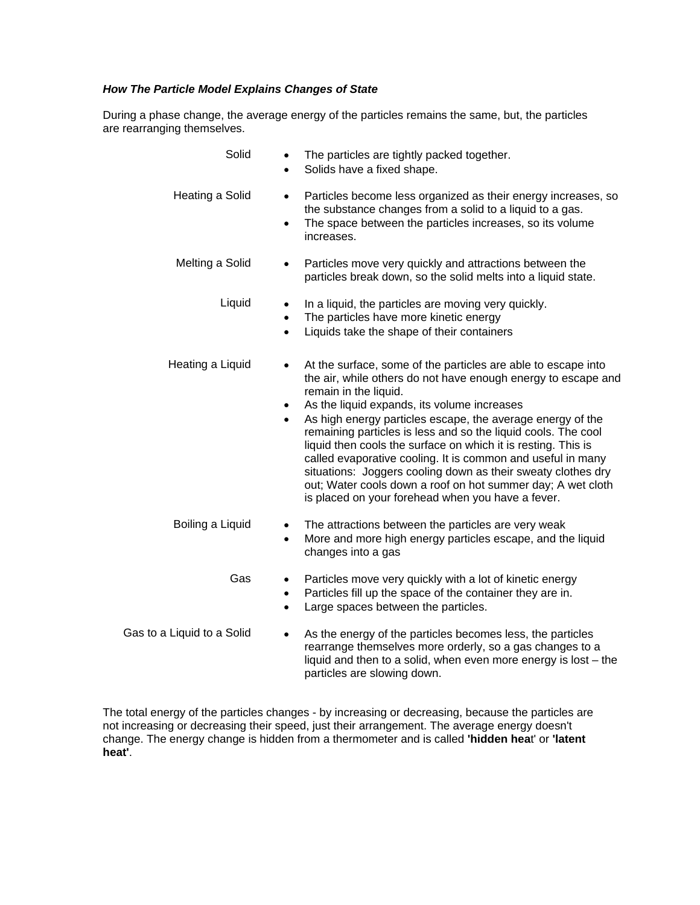## *How The Particle Model Explains Changes of State*

During a phase change, the average energy of the particles remains the same, but, the particles are rearranging themselves.

| Solid                      | The particles are tightly packed together.<br>Solids have a fixed shape.                                                                                                                                                                                                                                                                                                                                                                                                                                                                                                                                                                                               |
|----------------------------|------------------------------------------------------------------------------------------------------------------------------------------------------------------------------------------------------------------------------------------------------------------------------------------------------------------------------------------------------------------------------------------------------------------------------------------------------------------------------------------------------------------------------------------------------------------------------------------------------------------------------------------------------------------------|
| Heating a Solid            | Particles become less organized as their energy increases, so<br>$\bullet$<br>the substance changes from a solid to a liquid to a gas.<br>The space between the particles increases, so its volume<br>$\bullet$<br>increases.                                                                                                                                                                                                                                                                                                                                                                                                                                          |
| Melting a Solid            | Particles move very quickly and attractions between the<br>$\bullet$<br>particles break down, so the solid melts into a liquid state.                                                                                                                                                                                                                                                                                                                                                                                                                                                                                                                                  |
| Liquid                     | In a liquid, the particles are moving very quickly.<br>$\bullet$<br>The particles have more kinetic energy<br>$\bullet$<br>Liquids take the shape of their containers<br>$\bullet$                                                                                                                                                                                                                                                                                                                                                                                                                                                                                     |
| Heating a Liquid           | At the surface, some of the particles are able to escape into<br>the air, while others do not have enough energy to escape and<br>remain in the liquid.<br>As the liquid expands, its volume increases<br>$\bullet$<br>As high energy particles escape, the average energy of the<br>remaining particles is less and so the liquid cools. The cool<br>liquid then cools the surface on which it is resting. This is<br>called evaporative cooling. It is common and useful in many<br>situations: Joggers cooling down as their sweaty clothes dry<br>out; Water cools down a roof on hot summer day; A wet cloth<br>is placed on your forehead when you have a fever. |
| Boiling a Liquid           | The attractions between the particles are very weak<br>$\bullet$<br>More and more high energy particles escape, and the liquid<br>$\bullet$<br>changes into a gas                                                                                                                                                                                                                                                                                                                                                                                                                                                                                                      |
| Gas                        | Particles move very quickly with a lot of kinetic energy<br>٠<br>Particles fill up the space of the container they are in.<br>$\bullet$<br>Large spaces between the particles.<br>$\bullet$                                                                                                                                                                                                                                                                                                                                                                                                                                                                            |
| Gas to a Liquid to a Solid | As the energy of the particles becomes less, the particles<br>$\bullet$<br>rearrange themselves more orderly, so a gas changes to a<br>liquid and then to a solid, when even more energy is lost $-$ the                                                                                                                                                                                                                                                                                                                                                                                                                                                               |

The total energy of the particles changes - by increasing or decreasing, because the particles are not increasing or decreasing their speed, just their arrangement. The average energy doesn't change. The energy change is hidden from a thermometer and is called **'hidden hea**t' or **'latent heat'**.

particles are slowing down.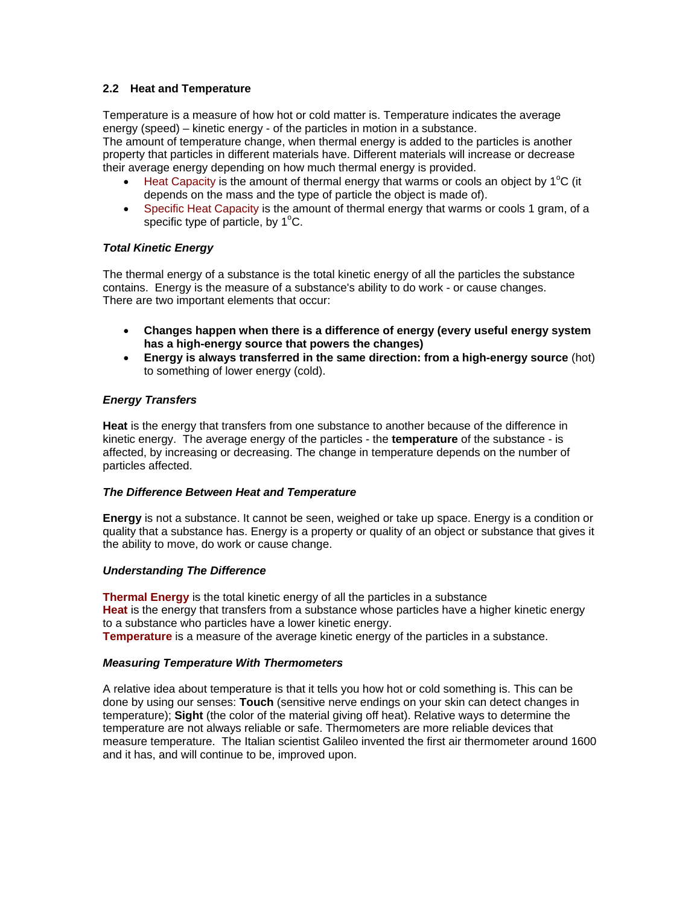## **2.2 Heat and Temperature**

Temperature is a measure of how hot or cold matter is. Temperature indicates the average energy (speed) – kinetic energy - of the particles in motion in a substance.

The amount of temperature change, when thermal energy is added to the particles is another property that particles in different materials have. Different materials will increase or decrease their average energy depending on how much thermal energy is provided.

- $\bullet$  Heat Capacity is the amount of thermal energy that warms or cools an object by 1°C (it depends on the mass and the type of particle the object is made of).
- Specific Heat Capacity is the amount of thermal energy that warms or cools 1 gram, of a specific type of particle, by  $1^{\circ}$ C.

## *Total Kinetic Energy*

The thermal energy of a substance is the total kinetic energy of all the particles the substance contains. Energy is the measure of a substance's ability to do work - or cause changes. There are two important elements that occur:

- **Changes happen when there is a difference of energy (every useful energy system has a high-energy source that powers the changes)**
- **Energy is always transferred in the same direction: from a high-energy source** (hot) to something of lower energy (cold).

## *Energy Transfers*

**Heat** is the energy that transfers from one substance to another because of the difference in kinetic energy. The average energy of the particles - the **temperature** of the substance - is affected, by increasing or decreasing. The change in temperature depends on the number of particles affected.

### *The Difference Between Heat and Temperature*

**Energy** is not a substance. It cannot be seen, weighed or take up space. Energy is a condition or quality that a substance has. Energy is a property or quality of an object or substance that gives it the ability to move, do work or cause change.

### *Understanding The Difference*

**Thermal Energy** is the total kinetic energy of all the particles in a substance **Heat** is the energy that transfers from a substance whose particles have a higher kinetic energy to a substance who particles have a lower kinetic energy. **Temperature** is a measure of the average kinetic energy of the particles in a substance.

### *Measuring Temperature With Thermometers*

A relative idea about temperature is that it tells you how hot or cold something is. This can be done by using our senses: **Touch** (sensitive nerve endings on your skin can detect changes in temperature); **Sight** (the color of the material giving off heat). Relative ways to determine the temperature are not always reliable or safe. Thermometers are more reliable devices that measure temperature. The Italian scientist Galileo invented the first air thermometer around 1600 and it has, and will continue to be, improved upon.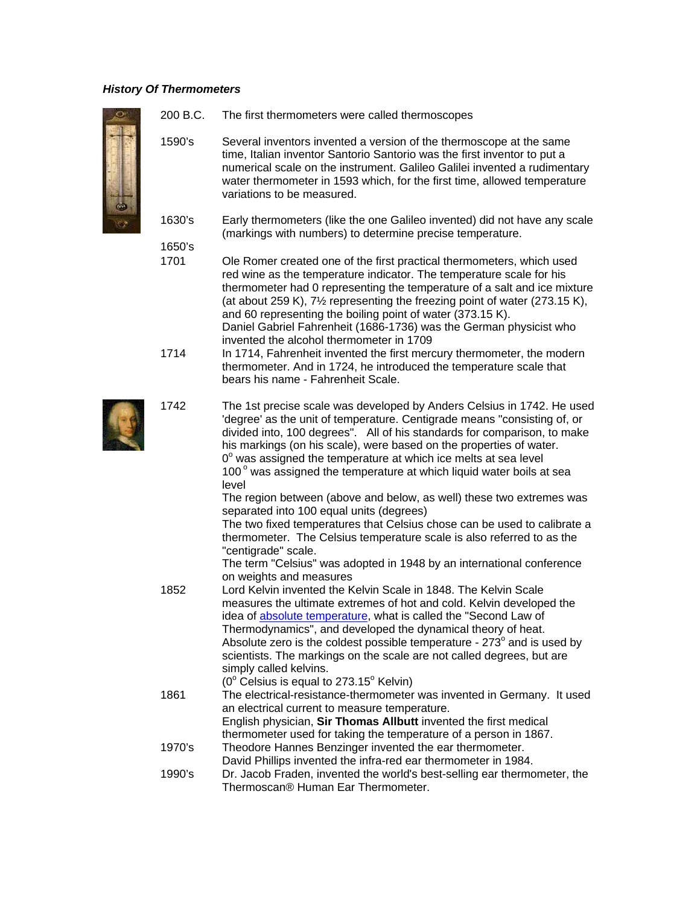### *History Of Thermometers*



200 B.C. The first thermometers were called thermoscopes

1590's Several inventors invented a version of the thermoscope at the same time, Italian inventor Santorio Santorio was the first inventor to put a numerical scale on the instrument. Galileo Galilei invented a rudimentary water thermometer in 1593 which, for the first time, allowed temperature variations to be measured.

1630's Early thermometers (like the one Galileo invented) did not have any scale (markings with numbers) to determine precise temperature.

1650's

1701 Ole Romer created one of the first practical thermometers, which used red wine as the temperature indicator. The temperature scale for his thermometer had 0 representing the temperature of a salt and ice mixture (at about 259 K), 7½ representing the freezing point of water (273.15 K), and 60 representing the boiling point of water (373.15 K). Daniel Gabriel Fahrenheit (1686-1736) was the German physicist who invented the alcohol thermometer in 1709

| 1714   | In 1714, Fahrenheit invented the first mercury thermometer, the modern<br>thermometer. And in 1724, he introduced the temperature scale that<br>bears his name - Fahrenheit Scale.                                                                                                                                                                                                                                                                                                                                            |
|--------|-------------------------------------------------------------------------------------------------------------------------------------------------------------------------------------------------------------------------------------------------------------------------------------------------------------------------------------------------------------------------------------------------------------------------------------------------------------------------------------------------------------------------------|
| 1742   | The 1st precise scale was developed by Anders Celsius in 1742. He used<br>'degree' as the unit of temperature. Centigrade means "consisting of, or<br>divided into, 100 degrees". All of his standards for comparison, to make<br>his markings (on his scale), were based on the properties of water.<br>$0^{\circ}$ was assigned the temperature at which ice melts at sea level<br>100° was assigned the temperature at which liquid water boils at sea<br>level                                                            |
|        | The region between (above and below, as well) these two extremes was<br>separated into 100 equal units (degrees)                                                                                                                                                                                                                                                                                                                                                                                                              |
|        | The two fixed temperatures that Celsius chose can be used to calibrate a<br>thermometer. The Celsius temperature scale is also referred to as the<br>"centigrade" scale.                                                                                                                                                                                                                                                                                                                                                      |
|        | The term "Celsius" was adopted in 1948 by an international conference<br>on weights and measures                                                                                                                                                                                                                                                                                                                                                                                                                              |
| 1852   | Lord Kelvin invented the Kelvin Scale in 1848. The Kelvin Scale<br>measures the ultimate extremes of hot and cold. Kelvin developed the<br>idea of absolute temperature, what is called the "Second Law of<br>Thermodynamics", and developed the dynamical theory of heat.<br>Absolute zero is the coldest possible temperature - $273^\circ$ and is used by<br>scientists. The markings on the scale are not called degrees, but are<br>simply called kelvins.<br>$(0^{\circ}$ Celsius is equal to 273.15 $^{\circ}$ Kelvin) |
| 1861   | The electrical-resistance-thermometer was invented in Germany. It used<br>an electrical current to measure temperature.<br>English physician, Sir Thomas Allbutt invented the first medical                                                                                                                                                                                                                                                                                                                                   |
| 1970's | thermometer used for taking the temperature of a person in 1867.<br>Theodore Hannes Benzinger invented the ear thermometer.<br>David Phillips invented the infra-red ear thermometer in 1984.                                                                                                                                                                                                                                                                                                                                 |
| 1990's | Dr. Jacob Fraden, invented the world's best-selling ear thermometer, the<br>Thermoscan® Human Ear Thermometer.                                                                                                                                                                                                                                                                                                                                                                                                                |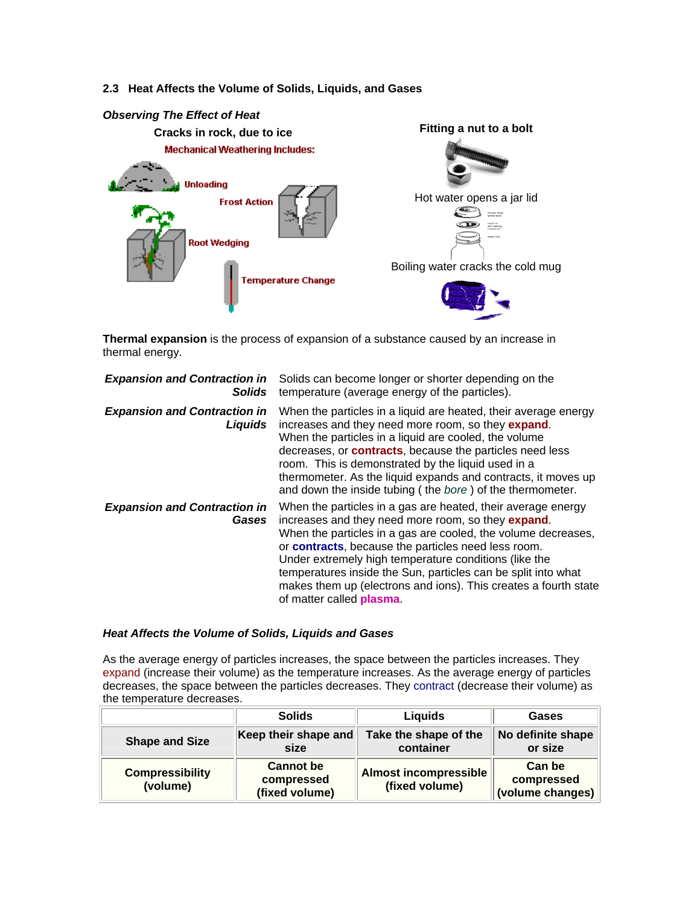## **2.3 Heat Affects the Volume of Solids, Liquids, and Gases**



**Thermal expansion** is the process of expansion of a substance caused by an increase in thermal energy.

| <b>Expansion and Contraction in</b><br><b>Solids</b> | Solids can become longer or shorter depending on the<br>temperature (average energy of the particles).                                                                                                                                                                                                                                                                                                                                                                                    |
|------------------------------------------------------|-------------------------------------------------------------------------------------------------------------------------------------------------------------------------------------------------------------------------------------------------------------------------------------------------------------------------------------------------------------------------------------------------------------------------------------------------------------------------------------------|
| <b>Expansion and Contraction in</b><br>Liquids       | When the particles in a liquid are heated, their average energy<br>increases and they need more room, so they expand.<br>When the particles in a liquid are cooled, the volume<br>decreases, or <b>contracts</b> , because the particles need less<br>room. This is demonstrated by the liquid used in a<br>thermometer. As the liquid expands and contracts, it moves up<br>and down the inside tubing (the bore) of the thermometer.                                                    |
| <b>Expansion and Contraction in</b><br>Gases         | When the particles in a gas are heated, their average energy<br>increases and they need more room, so they <b>expand</b> .<br>When the particles in a gas are cooled, the volume decreases,<br>or <b>contracts</b> , because the particles need less room.<br>Under extremely high temperature conditions (like the<br>temperatures inside the Sun, particles can be split into what<br>makes them up (electrons and ions). This creates a fourth state<br>of matter called <b>plasma</b> |

#### *Heat Affects the Volume of Solids, Liquids and Gases*

As the average energy of particles increases, the space between the particles increases. They expand (increase their volume) as the temperature increases. As the average energy of particles decreases, the space between the particles decreases. They contract (decrease their volume) as the temperature decreases.

|                                    | <b>Solids</b>                                    | Liquids                                        | Gases                                    |
|------------------------------------|--------------------------------------------------|------------------------------------------------|------------------------------------------|
| <b>Shape and Size</b>              | Keep their shape and<br>size                     | Take the shape of the<br>container             | No definite shape<br>or size             |
| <b>Compressibility</b><br>(volume) | <b>Cannot</b> be<br>compressed<br>(fixed volume) | <b>Almost incompressible</b><br>(fixed volume) | Can be<br>compressed<br>(volume changes) |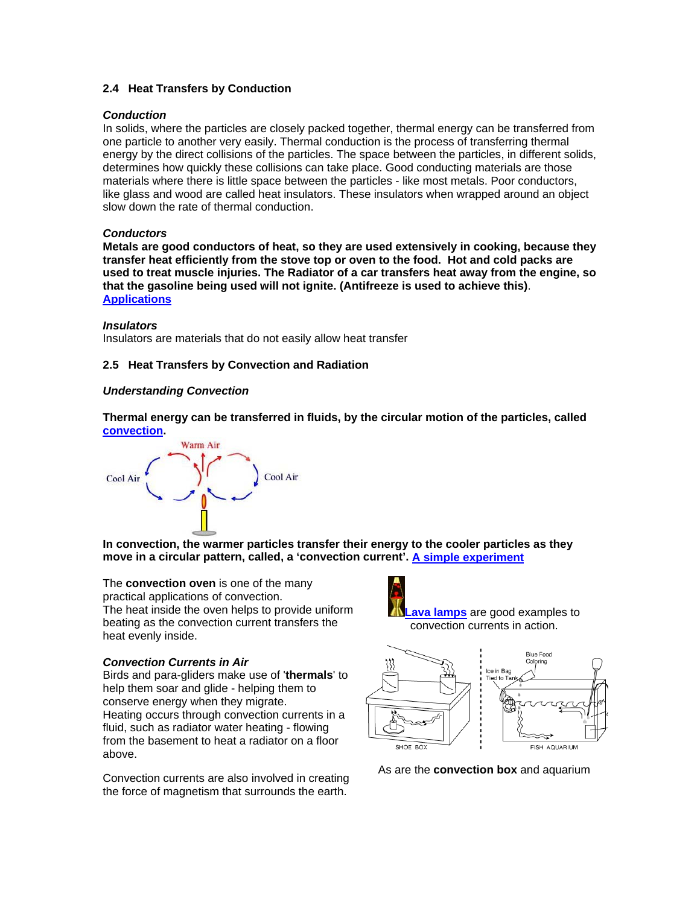## **2.4 Heat Transfers by Conduction**

#### *Conduction*

In solids, where the particles are closely packed together, thermal energy can be transferred from one particle to another very easily. Thermal conduction is the process of transferring thermal energy by the direct collisions of the particles. The space between the particles, in different solids, determines how quickly these collisions can take place. Good conducting materials are those materials where there is little space between the particles - like most metals. Poor conductors, like glass and wood are called heat insulators. These insulators when wrapped around an object slow down the rate of thermal conduction.

#### *Conductors*

**Metals are good conductors of heat, so they are used extensively in cooking, because they transfer heat efficiently from the stove top or oven to the food. Hot and cold packs are used to treat muscle injuries. The Radiator of a car transfers heat away from the engine, so that the gasoline being used will not ignite. (Antifreeze is used to achieve this)**. **Applications**

#### *Insulators*

Insulators are materials that do not easily allow heat transfer

### **2.5 Heat Transfers by Convection and Radiation**

#### *Understanding Convection*

**Thermal energy can be transferred in fluids, by the circular motion of the particles, called convection.** 



**In convection, the warmer particles transfer their energy to the cooler particles as they move in a circular pattern, called, a 'convection current'. A simple experiment**

The **convection oven** is one of the many practical applications of convection. The heat inside the oven helps to provide uniform beating as the convection current transfers the heat evenly inside.

**Lava lamps** are good examples to convection currents in action.

Ice in Bag

**Blue Food** Colorina

FISH AQUARIUM

#### *Convection Currents in Air*

Birds and para-gliders make use of '**thermals**' to help them soar and glide - helping them to conserve energy when they migrate. Heating occurs through convection currents in a fluid, such as radiator water heating - flowing from the basement to heat a radiator on a floor above.

Convection currents are also involved in creating the force of magnetism that surrounds the earth.

As are the **convection box** and aquarium

SHOE BOX